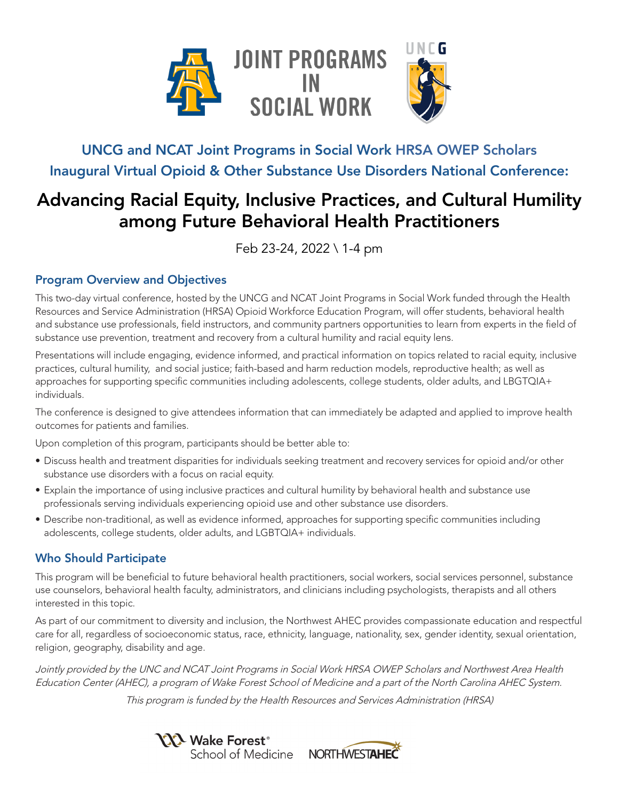



# UNCG and NCAT Joint Programs in Social Work HRSA OWEP Scholars Inaugural Virtual Opioid & Other Substance Use Disorders National Conference:

# Advancing Racial Equity, Inclusive Practices, and Cultural Humility among Future Behavioral Health Practitioners

Feb 23-24, 2022 \ 1-4 pm

### Program Overview and Objectives

This two-day virtual conference, hosted by the UNCG and NCAT Joint Programs in Social Work funded through the Health Resources and Service Administration (HRSA) Opioid Workforce Education Program, will offer students, behavioral health and substance use professionals, field instructors, and community partners opportunities to learn from experts in the field of substance use prevention, treatment and recovery from a cultural humility and racial equity lens.

Presentations will include engaging, evidence informed, and practical information on topics related to racial equity, inclusive practices, cultural humility, and social justice; faith-based and harm reduction models, reproductive health; as well as approaches for supporting specific communities including adolescents, college students, older adults, and LBGTQIA+ individuals.

The conference is designed to give attendees information that can immediately be adapted and applied to improve health outcomes for patients and families.

Upon completion of this program, participants should be better able to:

- Discuss health and treatment disparities for individuals seeking treatment and recovery services for opioid and/or other substance use disorders with a focus on racial equity.
- Explain the importance of using inclusive practices and cultural humility by behavioral health and substance use professionals serving individuals experiencing opioid use and other substance use disorders.
- Describe non-traditional, as well as evidence informed, approaches for supporting specific communities including adolescents, college students, older adults, and LGBTQIA+ individuals.

## Who Should Participate

This program will be beneficial to future behavioral health practitioners, social workers, social services personnel, substance use counselors, behavioral health faculty, administrators, and clinicians including psychologists, therapists and all others interested in this topic.

As part of our commitment to diversity and inclusion, the Northwest AHEC provides compassionate education and respectful care for all, regardless of socioeconomic status, race, ethnicity, language, nationality, sex, gender identity, sexual orientation, religion, geography, disability and age.

Jointly provided by the UNC and NCAT Joint Programs in Social Work HRSA OWEP Scholars and Northwest Area Health Education Center (AHEC), a program of Wake Forest School of Medicine and a part of the North Carolina AHEC System.

This program is funded by the Health Resources and Services Administration (HRSA)



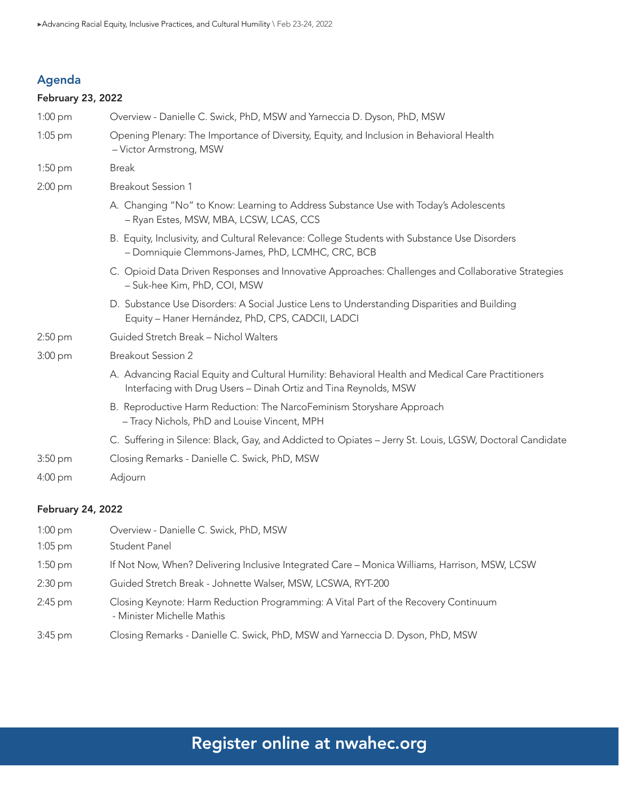## Agenda

#### February 23, 2022

| $1:00$ pm         | Overview - Danielle C. Swick, PhD, MSW and Yarneccia D. Dyson, PhD, MSW                                                                                                |
|-------------------|------------------------------------------------------------------------------------------------------------------------------------------------------------------------|
| 1:05 pm           | Opening Plenary: The Importance of Diversity, Equity, and Inclusion in Behavioral Health<br>- Victor Armstrong, MSW                                                    |
| $1:50$ pm         | <b>Break</b>                                                                                                                                                           |
| 2:00 pm           | <b>Breakout Session 1</b>                                                                                                                                              |
|                   | A. Changing "No" to Know: Learning to Address Substance Use with Today's Adolescents<br>- Ryan Estes, MSW, MBA, LCSW, LCAS, CCS                                        |
|                   | B. Equity, Inclusivity, and Cultural Relevance: College Students with Substance Use Disorders<br>- Domniquie Clemmons-James, PhD, LCMHC, CRC, BCB                      |
|                   | C. Opioid Data Driven Responses and Innovative Approaches: Challenges and Collaborative Strategies<br>- Suk-hee Kim, PhD, COI, MSW                                     |
|                   | D. Substance Use Disorders: A Social Justice Lens to Understanding Disparities and Building<br>Equity - Haner Hernández, PhD, CPS, CADCII, LADCI                       |
| 2:50 pm           | Guided Stretch Break - Nichol Walters                                                                                                                                  |
| $3:00$ pm         | <b>Breakout Session 2</b>                                                                                                                                              |
|                   | A. Advancing Racial Equity and Cultural Humility: Behavioral Health and Medical Care Practitioners<br>Interfacing with Drug Users - Dinah Ortiz and Tina Reynolds, MSW |
|                   | B. Reproductive Harm Reduction: The NarcoFeminism Storyshare Approach<br>- Tracy Nichols, PhD and Louise Vincent, MPH                                                  |
|                   | C. Suffering in Silence: Black, Gay, and Addicted to Opiates - Jerry St. Louis, LGSW, Doctoral Candidate                                                               |
| $3:50$ pm         | Closing Remarks - Danielle C. Swick, PhD, MSW                                                                                                                          |
| $4:00 \text{ pm}$ | Adjourn                                                                                                                                                                |
|                   |                                                                                                                                                                        |

#### February 24, 2022

| $1:00 \text{ pm}$ | Overview - Danielle C. Swick, PhD, MSW                                                                            |
|-------------------|-------------------------------------------------------------------------------------------------------------------|
| $1:05$ pm         | Student Panel                                                                                                     |
| $1:50 \text{ pm}$ | If Not Now, When? Delivering Inclusive Integrated Care - Monica Williams, Harrison, MSW, LCSW                     |
| $2:30 \text{ pm}$ | Guided Stretch Break - Johnette Walser, MSW, LCSWA, RYT-200                                                       |
| $2:45$ pm         | Closing Keynote: Harm Reduction Programming: A Vital Part of the Recovery Continuum<br>- Minister Michelle Mathis |
| $3:45 \text{ pm}$ | Closing Remarks - Danielle C. Swick, PhD, MSW and Yarneccia D. Dyson, PhD, MSW                                    |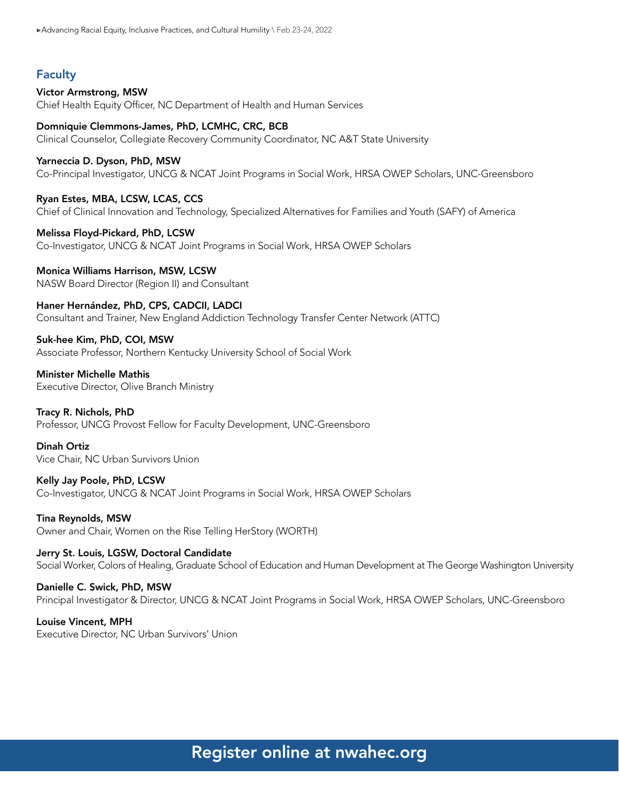▶Advancing Racial Equity, Inclusive Practices, and Cultural Humility \ Feb 23-24, 2022

### **Faculty**

Victor Armstrong, MSW Chief Health Equity Officer, NC Department of Health and Human Services

Domniquie Clemmons-James, PhD, LCMHC, CRC, BCB Clinical Counselor, Collegiate Recovery Community Coordinator, NC A&T State University

#### Yarneccia D. Dyson, PhD, MSW

Co-Principal Investigator, UNCG & NCAT Joint Programs in Social Work, HRSA OWEP Scholars, UNC-Greensboro

Ryan Estes, MBA, LCSW, LCAS, CCS

Chief of Clinical Innovation and Technology, Specialized Alternatives for Families and Youth (SAFY) of America

Melissa Floyd-Pickard, PhD, LCSW Co-Investigator, UNCG & NCAT Joint Programs in Social Work, HRSA OWEP Scholars

Monica Williams Harrison, MSW, LCSW NASW Board Director (Region II) and Consultant

Haner Hernández, PhD, CPS, CADCII, LADCI Consultant and Trainer, New England Addiction Technology Transfer Center Network (ATTC)

Suk-hee Kim, PhD, COI, MSW Associate Professor, Northern Kentucky University School of Social Work

Minister Michelle Mathis Executive Director, Olive Branch Ministry

Tracy R. Nichols, PhD Professor, UNCG Provost Fellow for Faculty Development, UNC-Greensboro

Dinah Ortiz Vice Chair, NC Urban Survivors Union

Kelly Jay Poole, PhD, LCSW Co-Investigator, UNCG & NCAT Joint Programs in Social Work, HRSA OWEP Scholars

Tina Reynolds, MSW Owner and Chair, Women on the Rise Telling HerStory (WORTH)

Jerry St. Louis, LGSW, Doctoral Candidate Social Worker, Colors of Healing, Graduate School of Education and Human Development at The George Washington University

Danielle C. Swick, PhD, MSW Principal Investigator & Director, UNCG & NCAT Joint Programs in Social Work, HRSA OWEP Scholars, UNC-Greensboro

Louise Vincent, MPH Executive Director, NC Urban Survivors' Union

[Register online at nwahec.org](http://nwahec.org/66990)